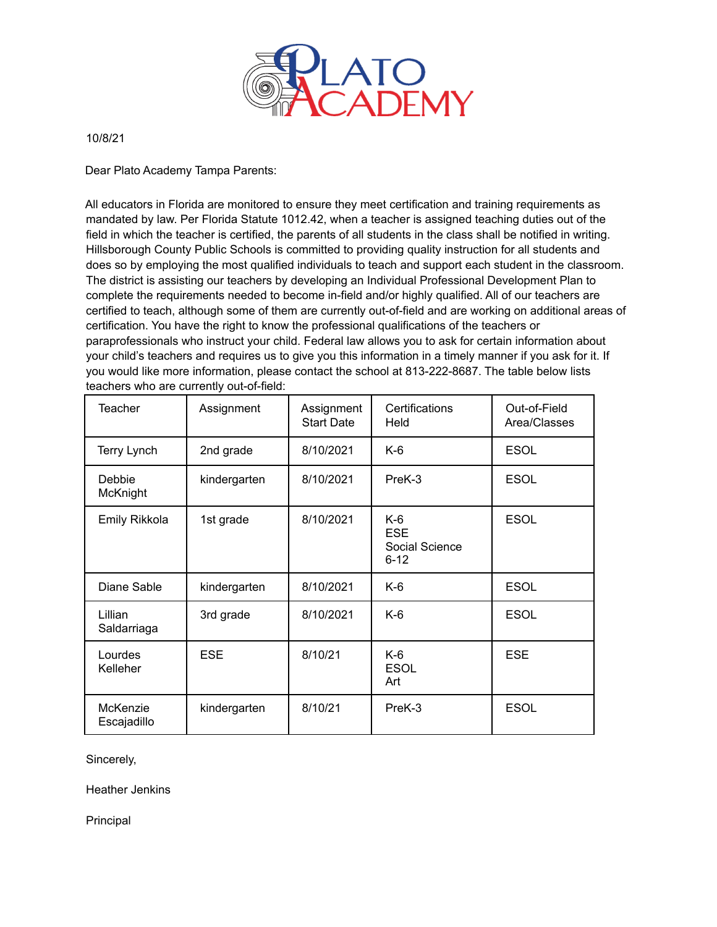

10/8/21

Dear Plato Academy Tampa Parents:

All educators in Florida are monitored to ensure they meet certification and training requirements as mandated by law. Per Florida Statute 1012.42, when a teacher is assigned teaching duties out of the field in which the teacher is certified, the parents of all students in the class shall be notified in writing. Hillsborough County Public Schools is committed to providing quality instruction for all students and does so by employing the most qualified individuals to teach and support each student in the classroom. The district is assisting our teachers by developing an Individual Professional Development Plan to complete the requirements needed to become in-field and/or highly qualified. All of our teachers are certified to teach, although some of them are currently out-of-field and are working on additional areas of certification. You have the right to know the professional qualifications of the teachers or paraprofessionals who instruct your child. Federal law allows you to ask for certain information about your child's teachers and requires us to give you this information in a timely manner if you ask for it. If you would like more information, please contact the school at 813-222-8687. The table below lists teachers who are currently out-of-field:

| Teacher                 | Assignment   | Assignment<br><b>Start Date</b> | Certifications<br>Held                            | Out-of-Field<br>Area/Classes |
|-------------------------|--------------|---------------------------------|---------------------------------------------------|------------------------------|
| Terry Lynch             | 2nd grade    | 8/10/2021                       | $K-6$                                             | <b>ESOL</b>                  |
| Debbie<br>McKnight      | kindergarten | 8/10/2021                       | PreK-3                                            | <b>ESOL</b>                  |
| Emily Rikkola           | 1st grade    | 8/10/2021                       | $K-6$<br><b>ESE</b><br>Social Science<br>$6 - 12$ | <b>ESOL</b>                  |
| Diane Sable             | kindergarten | 8/10/2021                       | $K-6$                                             | <b>ESOL</b>                  |
| Lillian<br>Saldarriaga  | 3rd grade    | 8/10/2021                       | $K-6$                                             | <b>ESOL</b>                  |
| Lourdes<br>Kelleher     | <b>ESE</b>   | 8/10/21                         | $K-6$<br><b>ESOL</b><br>Art                       | <b>ESE</b>                   |
| McKenzie<br>Escajadillo | kindergarten | 8/10/21                         | PreK-3                                            | <b>ESOL</b>                  |

Sincerely,

Heather Jenkins

Principal